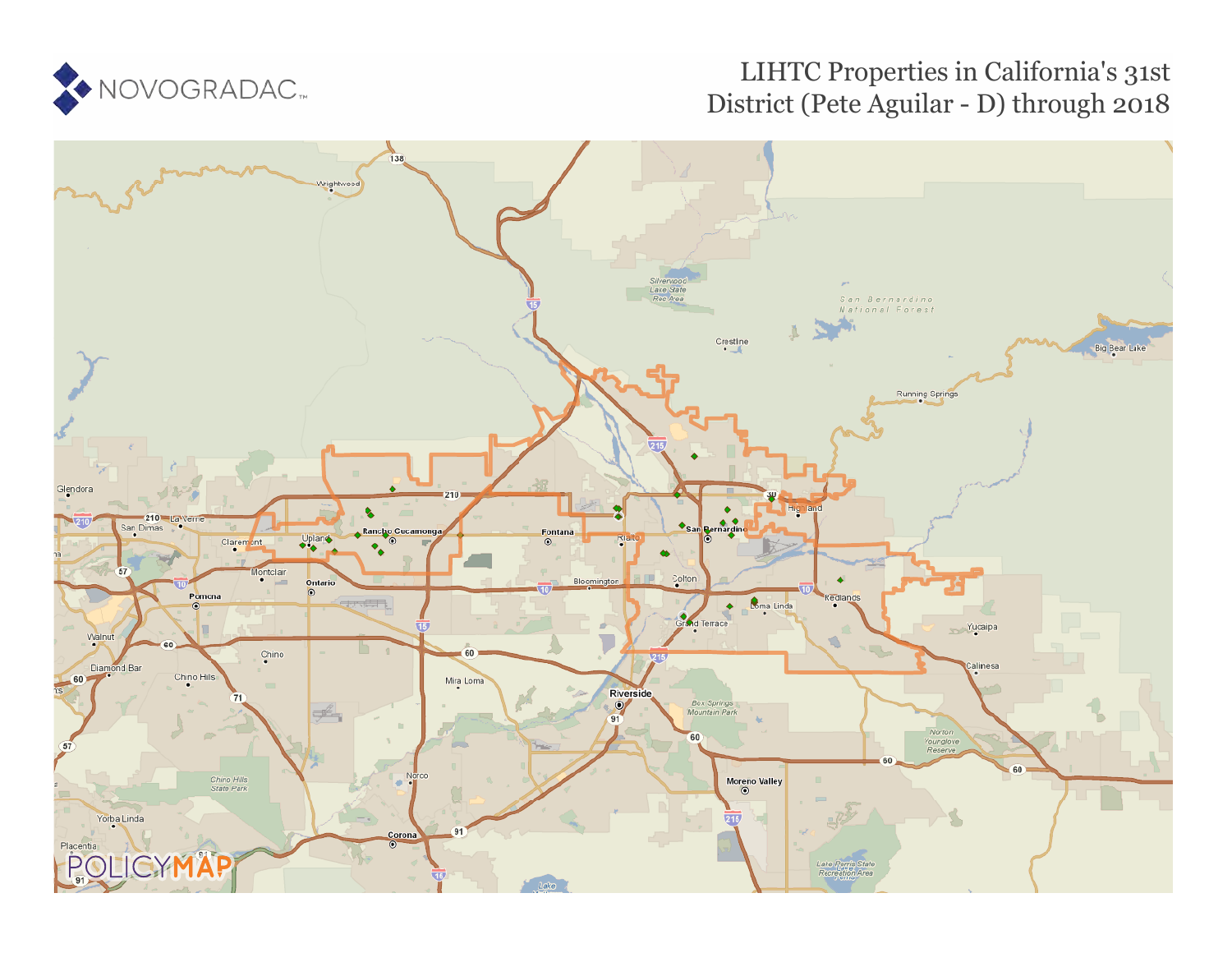

# LIHTC Properties in California's 31st District (Pete Aguilar - D) through 2018

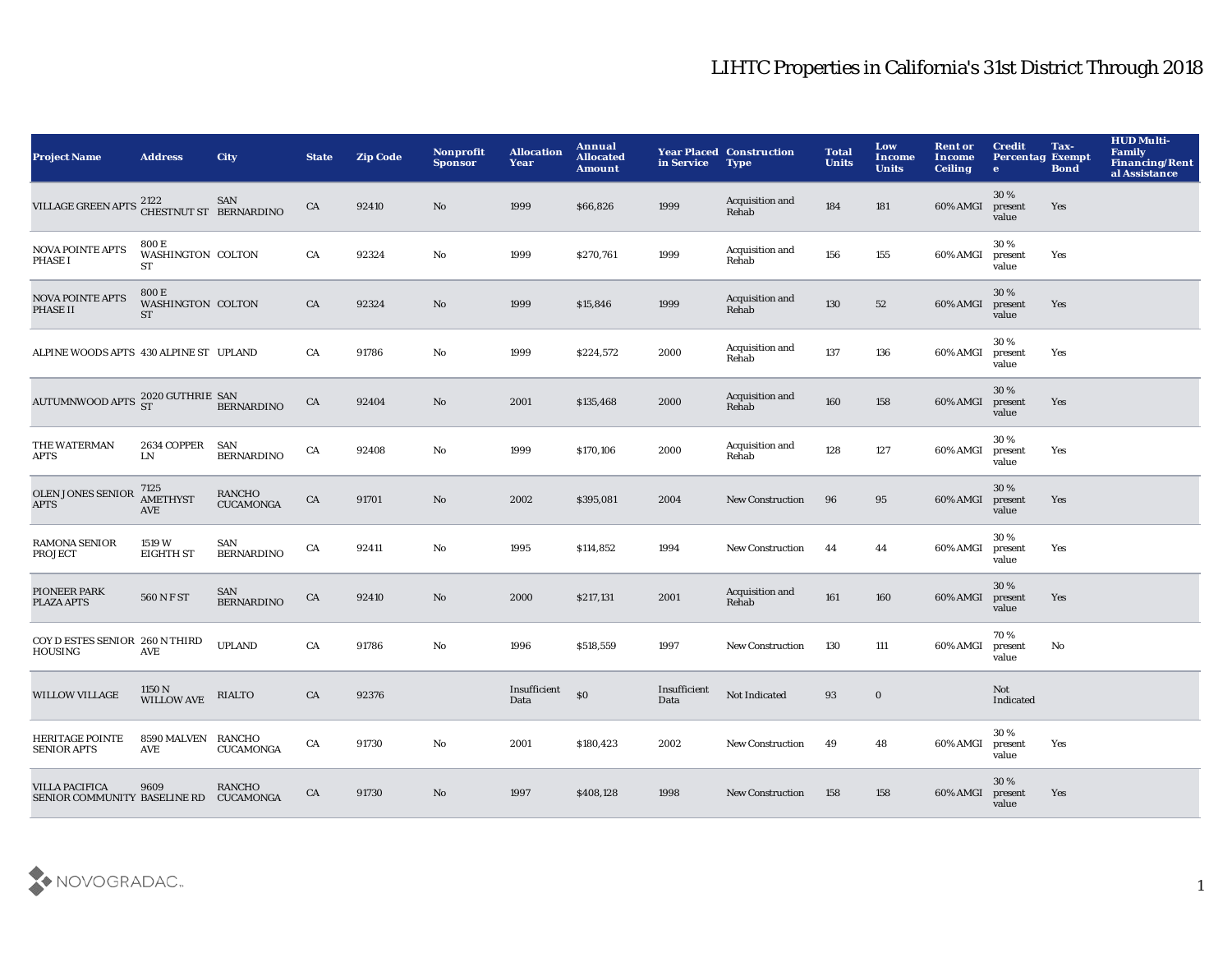| <b>Project Name</b>                                             | <b>Address</b>                          | <b>City</b>                       | <b>State</b> | <b>Zip Code</b> | <b>Nonprofit</b><br><b>Sponsor</b> | <b>Allocation</b><br>Year | Annual<br><b>Allocated</b><br><b>Amount</b> | in Service           | <b>Year Placed Construction</b><br><b>Type</b> | <b>Total</b><br><b>Units</b> | Low<br><b>Income</b><br><b>Units</b> | <b>Rent or</b><br>Income<br><b>Ceiling</b> | <b>Credit</b><br><b>Percentag Exempt</b><br>$\mathbf{e}$ | Tax-<br><b>Bond</b> | <b>HUD Multi-</b><br>Family<br><b>Financing/Rent</b><br>al Assistance |
|-----------------------------------------------------------------|-----------------------------------------|-----------------------------------|--------------|-----------------|------------------------------------|---------------------------|---------------------------------------------|----------------------|------------------------------------------------|------------------------------|--------------------------------------|--------------------------------------------|----------------------------------------------------------|---------------------|-----------------------------------------------------------------------|
| <b>VILLAGE GREEN APTS</b>                                       | 2122<br>CHESTNUT ST BERNARDINO          | SAN                               | CA           | 92410           | $\mathbf{N}\mathbf{o}$             | 1999                      | \$66,826                                    | 1999                 | Acquisition and<br>Rehab                       | 184                          | 181                                  | 60% AMGI                                   | 30%<br>present<br>value                                  | Yes                 |                                                                       |
| NOVA POINTE APTS<br>PHASE I                                     | 800 E<br>WASHINGTON COLTON<br>ST        |                                   | CA           | 92324           | No                                 | 1999                      | \$270,761                                   | 1999                 | Acquisition and<br>Rehab                       | 156                          | 155                                  | 60% AMGI                                   | 30%<br>present<br>value                                  | Yes                 |                                                                       |
| <b>NOVA POINTE APTS</b><br>PHASE II                             | 800 E<br>WASHINGTON COLTON<br><b>ST</b> |                                   | ${\rm CA}$   | 92324           | $\rm No$                           | 1999                      | \$15,846                                    | 1999                 | Acquisition and<br>Rehab                       | 130                          | ${\bf 52}$                           | 60% AMGI                                   | 30%<br>present<br>value                                  | Yes                 |                                                                       |
| ALPINE WOODS APTS 430 ALPINE ST UPLAND                          |                                         |                                   | CA           | 91786           | $\rm No$                           | 1999                      | \$224,572                                   | 2000                 | Acquisition and<br>Rehab                       | 137                          | 136                                  | 60% AMGI                                   | 30%<br>present<br>value                                  | Yes                 |                                                                       |
| AUTUMNWOOD APTS $^{2020}_{ST}$ GUTHRIE SAN                      |                                         | <b>BERNARDINO</b>                 | CA           | 92404           | $\mathbf{N}\mathbf{o}$             | 2001                      | \$135,468                                   | 2000                 | Acquisition and<br>Rehab                       | 160                          | 158                                  | 60% AMGI                                   | 30%<br>present<br>value                                  | Yes                 |                                                                       |
| THE WATERMAN<br><b>APTS</b>                                     | 2634 COPPER SAN<br>${\rm LN}$           | <b>BERNARDINO</b>                 | CA           | 92408           | No                                 | 1999                      | \$170,106                                   | 2000                 | Acquisition and<br>Rehab                       | 128                          | 127                                  | 60% AMGI                                   | 30%<br>present<br>value                                  | Yes                 |                                                                       |
| <b>OLEN JONES SENIOR</b><br><b>APTS</b>                         | 7125<br><b>AMETHYST</b><br><b>AVE</b>   | <b>RANCHO</b><br><b>CUCAMONGA</b> | ${\rm CA}$   | 91701           | $\rm No$                           | 2002                      | \$395,081                                   | 2004                 | <b>New Construction</b>                        | 96                           | 95                                   | 60% AMGI                                   | 30%<br>present<br>value                                  | Yes                 |                                                                       |
| <b>RAMONA SENIOR</b><br><b>PROJECT</b>                          | 1519 W<br><b>EIGHTH ST</b>              | SAN<br><b>BERNARDINO</b>          | CA           | 92411           | No                                 | 1995                      | \$114,852                                   | 1994                 | <b>New Construction</b>                        | 44                           | 44                                   | 60% AMGI                                   | 30%<br>present<br>value                                  | Yes                 |                                                                       |
| PIONEER PARK<br><b>PLAZA APTS</b>                               | 560 N F ST                              | SAN<br><b>BERNARDINO</b>          | ${\rm CA}$   | 92410           | No                                 | 2000                      | \$217,131                                   | 2001                 | Acquisition and<br>Rehab                       | 161                          | 160                                  | 60% AMGI                                   | 30%<br>present<br>value                                  | Yes                 |                                                                       |
| COY D ESTES SENIOR 260 N THIRD<br><b>HOUSING</b>                | <b>AVE</b>                              | <b>UPLAND</b>                     | CA           | 91786           | $\rm No$                           | 1996                      | \$518,559                                   | 1997                 | <b>New Construction</b>                        | 130                          | 111                                  | 60% AMGI                                   | 70%<br>present<br>value                                  | No                  |                                                                       |
| <b>WILLOW VILLAGE</b>                                           | 1150 N<br>WILLOW AVE                    | <b>RIALTO</b>                     | CA           | 92376           |                                    | Insufficient<br>Data      | \$0                                         | Insufficient<br>Data | Not Indicated                                  | 93                           | $\bf{0}$                             |                                            | Not<br>Indicated                                         |                     |                                                                       |
| <b>HERITAGE POINTE</b><br><b>SENIOR APTS</b>                    | 8590 MALVEN RANCHO<br><b>AVE</b>        | <b>CUCAMONGA</b>                  | CA           | 91730           | No                                 | 2001                      | \$180,423                                   | 2002                 | <b>New Construction</b>                        | 49                           | 48                                   | 60% AMGI                                   | 30%<br>present<br>value                                  | Yes                 |                                                                       |
| <b>VILLA PACIFICA</b><br>SENIOR COMMUNITY BASELINE RD CUCAMONGA | 9609                                    | <b>RANCHO</b>                     | CA           | 91730           | No                                 | 1997                      | \$408,128                                   | 1998                 | <b>New Construction</b>                        | 158                          | 158                                  | 60% AMGI                                   | 30 %<br>present<br>value                                 | Yes                 |                                                                       |

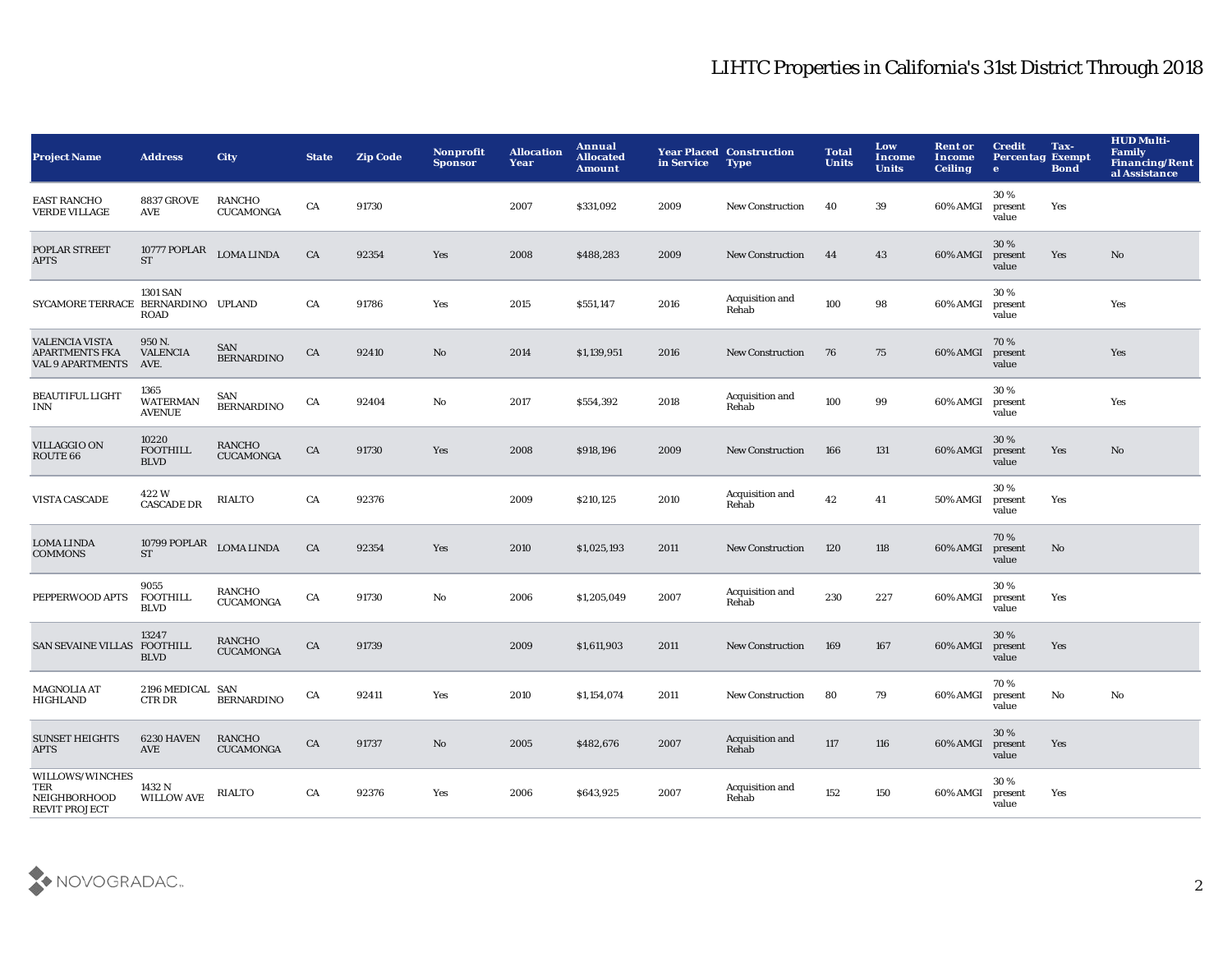| <b>Project Name</b>                                                       | <b>Address</b>                           | <b>City</b>                       | <b>State</b> | <b>Zip Code</b> | Nonprofit<br><b>Sponsor</b> | <b>Allocation</b><br>Year | Annual<br><b>Allocated</b><br><b>Amount</b> | in Service | <b>Year Placed Construction</b><br><b>Type</b> | <b>Total</b><br><b>Units</b> | Low<br>Income<br><b>Units</b> | <b>Rent or</b><br>Income<br><b>Ceiling</b> | <b>Credit</b><br><b>Percentag Exempt</b><br>$\bullet$ | Tax-<br><b>Bond</b> | <b>HUD Multi-</b><br><b>Family</b><br><b>Financing/Rent</b><br>al Assistance |
|---------------------------------------------------------------------------|------------------------------------------|-----------------------------------|--------------|-----------------|-----------------------------|---------------------------|---------------------------------------------|------------|------------------------------------------------|------------------------------|-------------------------------|--------------------------------------------|-------------------------------------------------------|---------------------|------------------------------------------------------------------------------|
| <b>EAST RANCHO</b><br><b>VERDE VILLAGE</b>                                | <b>8837 GROVE</b><br>AVE                 | <b>RANCHO</b><br><b>CUCAMONGA</b> | CA           | 91730           |                             | 2007                      | \$331,092                                   | 2009       | <b>New Construction</b>                        | 40                           | 39                            | 60% AMGI                                   | 30%<br>present<br>value                               | Yes                 |                                                                              |
| POPLAR STREET<br>APTS                                                     | 10777 POPLAR<br><b>ST</b>                | <b>LOMA LINDA</b>                 | CA           | 92354           | Yes                         | 2008                      | \$488,283                                   | 2009       | <b>New Construction</b>                        | 44                           | 43                            | 60% AMGI                                   | 30%<br>present<br>value                               | Yes                 | No                                                                           |
| SYCAMORE TERRACE BERNARDINO UPLAND                                        | <b>1301 SAN</b><br>ROAD                  |                                   | CA           | 91786           | Yes                         | 2015                      | \$551,147                                   | 2016       | <b>Acquisition and</b><br>Rehab                | 100                          | 98                            | 60% AMGI                                   | 30%<br>present<br>value                               |                     | Yes                                                                          |
| <b>VALENCIA VISTA</b><br><b>APARTMENTS FKA</b><br><b>VAL 9 APARTMENTS</b> | 950 N.<br><b>VALENCIA</b><br>AVE.        | SAN<br><b>BERNARDINO</b>          | CA           | 92410           | No                          | 2014                      | \$1,139,951                                 | 2016       | <b>New Construction</b>                        | 76                           | 75                            | 60% AMGI                                   | 70%<br>present<br>value                               |                     | Yes                                                                          |
| <b>BEAUTIFUL LIGHT</b><br>INN                                             | 1365<br><b>WATERMAN</b><br><b>AVENUE</b> | SAN<br><b>BERNARDINO</b>          | CA           | 92404           | No                          | 2017                      | \$554,392                                   | 2018       | Acquisition and<br>Rehab                       | 100                          | 99                            | 60% AMGI                                   | 30%<br>present<br>value                               |                     | Yes                                                                          |
| <b>VILLAGGIO ON</b><br>ROUTE 66                                           | 10220<br><b>FOOTHILL</b><br><b>BLVD</b>  | <b>RANCHO</b><br><b>CUCAMONGA</b> | ${\rm CA}$   | 91730           | Yes                         | 2008                      | \$918,196                                   | 2009       | <b>New Construction</b>                        | 166                          | 131                           | 60% AMGI                                   | 30%<br>present<br>value                               | Yes                 | No                                                                           |
| <b>VISTA CASCADE</b>                                                      | 422W<br><b>CASCADE DR</b>                | <b>RIALTO</b>                     | CA           | 92376           |                             | 2009                      | \$210,125                                   | 2010       | Acquisition and<br>Rehab                       | 42                           | 41                            | 50% AMGI                                   | 30%<br>present<br>value                               | Yes                 |                                                                              |
| <b>LOMA LINDA</b><br><b>COMMONS</b>                                       | 10799 POPLAR<br><b>ST</b>                | <b>LOMA LINDA</b>                 | CA           | 92354           | Yes                         | 2010                      | \$1,025,193                                 | 2011       | <b>New Construction</b>                        | 120                          | 118                           | 60% AMGI                                   | 70%<br>present<br>value                               | No                  |                                                                              |
| PEPPERWOOD APTS                                                           | 9055<br><b>FOOTHILL</b><br><b>BLVD</b>   | <b>RANCHO</b><br><b>CUCAMONGA</b> | CA           | 91730           | No                          | 2006                      | \$1,205,049                                 | 2007       | Acquisition and<br>Rehab                       | 230                          | 227                           | 60% AMGI                                   | 30%<br>present<br>value                               | Yes                 |                                                                              |
| <b>SAN SEVAINE VILLAS</b>                                                 | 13247<br><b>FOOTHILL</b><br><b>BLVD</b>  | <b>RANCHO</b><br><b>CUCAMONGA</b> | CA           | 91739           |                             | 2009                      | \$1,611,903                                 | 2011       | <b>New Construction</b>                        | 169                          | 167                           | 60% AMGI                                   | 30%<br>present<br>value                               | Yes                 |                                                                              |
| <b>MAGNOLIA AT</b><br>HIGHLAND                                            | 2196 MEDICAL SAN<br>CTR DR               | <b>BERNARDINO</b>                 | CA           | 92411           | Yes                         | 2010                      | \$1,154,074                                 | 2011       | <b>New Construction</b>                        | 80                           | 79                            | 60% AMGI                                   | 70%<br>present<br>value                               | No                  | No                                                                           |
| <b>SUNSET HEIGHTS</b><br><b>APTS</b>                                      | 6230 HAVEN<br>AVE                        | <b>RANCHO</b><br><b>CUCAMONGA</b> | CA           | 91737           | No                          | 2005                      | \$482,676                                   | 2007       | Acquisition and<br>Rehab                       | 117                          | 116                           | 60% AMGI                                   | 30%<br>present<br>value                               | Yes                 |                                                                              |
| WILLOWS/WINCHES<br>TER<br>NEIGHBORHOOD<br><b>REVIT PROJECT</b>            | 1432 N<br><b>WILLOW AVE</b>              | <b>RIALTO</b>                     | CA           | 92376           | Yes                         | 2006                      | \$643,925                                   | 2007       | Acquisition and<br>Rehab                       | 152                          | 150                           | 60% AMGI                                   | 30%<br>present<br>value                               | Yes                 |                                                                              |

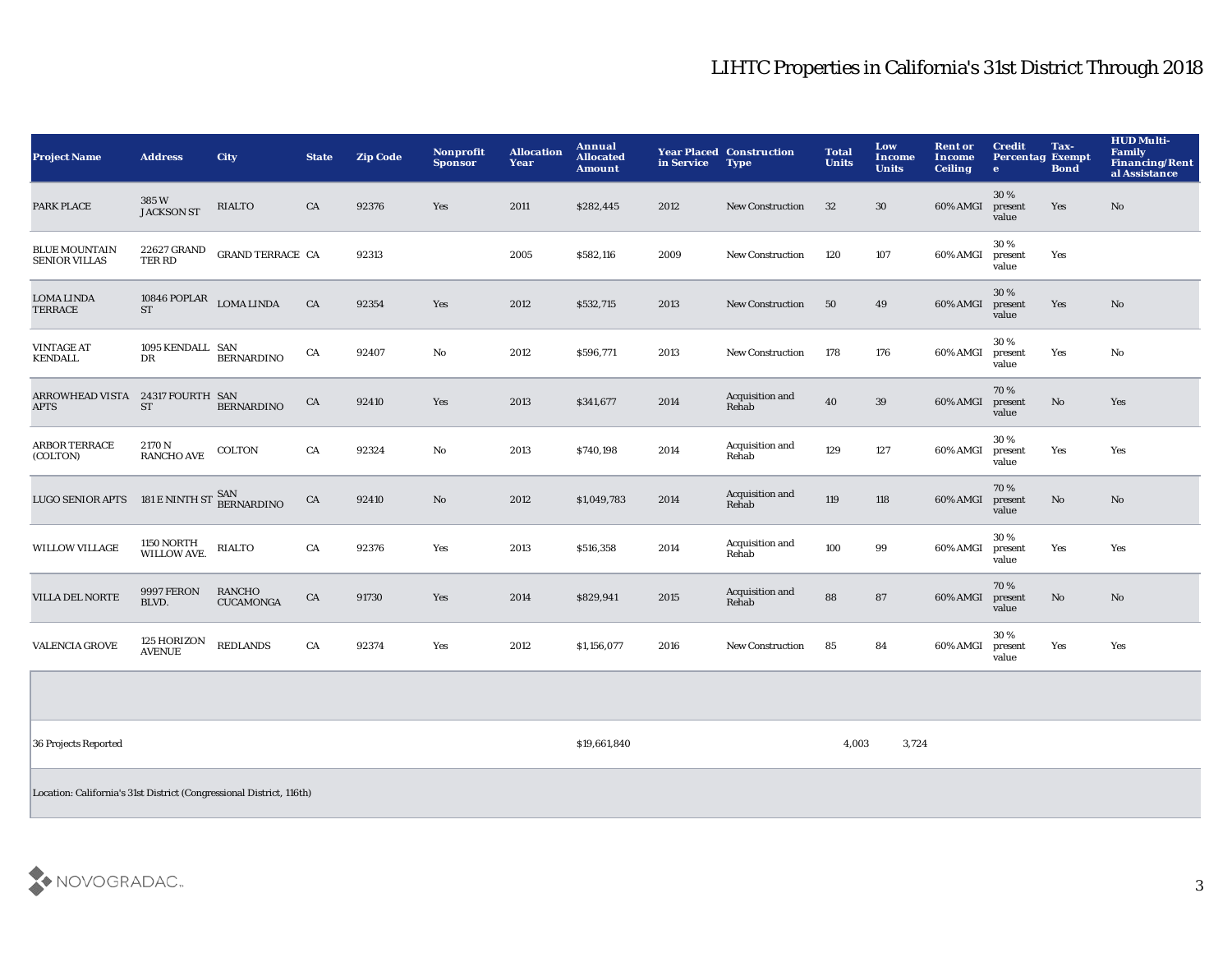| <b>Project Name</b>                                                  | <b>Address</b>                              | City                              | <b>State</b> | <b>Zip Code</b> | Nonprofit<br><b>Sponsor</b> | <b>Allocation</b><br>Year | Annual<br><b>Allocated</b><br><b>Amount</b> | in Service | <b>Year Placed Construction</b><br><b>Type</b> | <b>Total</b><br><b>Units</b> | Low<br>Income<br><b>Units</b> | <b>Rent or</b><br><b>Income</b><br><b>Ceiling</b> | <b>Credit</b><br><b>Percentag Exempt</b><br>$\mathbf{e}$ | Tax-<br><b>Bond</b> | <b>HUD Multi-</b><br>Family<br><b>Financing/Rent</b><br>al Assistance |
|----------------------------------------------------------------------|---------------------------------------------|-----------------------------------|--------------|-----------------|-----------------------------|---------------------------|---------------------------------------------|------------|------------------------------------------------|------------------------------|-------------------------------|---------------------------------------------------|----------------------------------------------------------|---------------------|-----------------------------------------------------------------------|
| PARK PLACE                                                           | 385W<br><b>JACKSON ST</b>                   | <b>RIALTO</b>                     | CA           | 92376           | Yes                         | 2011                      | \$282,445                                   | 2012       | <b>New Construction</b>                        | 32                           | $30\,$                        | 60% AMGI                                          | 30%<br>present<br>value                                  | Yes                 | No                                                                    |
| <b>BLUE MOUNTAIN</b><br><b>SENIOR VILLAS</b>                         | 22627 GRAND<br>TER RD                       | <b>GRAND TERRACE CA</b>           |              | 92313           |                             | 2005                      | \$582,116                                   | 2009       | <b>New Construction</b>                        | 120                          | 107                           | 60% AMGI                                          | 30%<br>present<br>value                                  | Yes                 |                                                                       |
| LOMA LINDA<br><b>TERRACE</b>                                         | $10846$ POPLAR $\_$ LOMA LINDA<br><b>ST</b> |                                   | CA           | 92354           | Yes                         | 2012                      | \$532,715                                   | 2013       | New Construction                               | 50                           | 49                            | 60% AMGI                                          | 30%<br>present<br>value                                  | Yes                 | $\mathbf {No}$                                                        |
| <b>VINTAGE AT</b><br><b>KENDALL</b>                                  | 1095 KENDALL SAN<br>DR                      | <b>BERNARDINO</b>                 | CA           | 92407           | No                          | 2012                      | \$596,771                                   | 2013       | <b>New Construction</b>                        | 178                          | 176                           | 60% AMGI                                          | 30%<br>present<br>value                                  | Yes                 | No                                                                    |
| ARROWHEAD VISTA 24317 FOURTH SAN<br><b>APTS</b>                      | <b>ST</b>                                   | <b>BERNARDINO</b>                 | ${\rm CA}$   | 92410           | Yes                         | 2013                      | \$341,677                                   | 2014       | Acquisition and<br>Rehab                       | 40                           | $39\,$                        | 60% AMGI                                          | 70%<br>present<br>value                                  | No                  | Yes                                                                   |
| <b>ARBOR TERRACE</b><br>(COLTON)                                     | 2170 N<br><b>RANCHO AVE</b>                 | COLTON                            | CA           | 92324           | No                          | 2013                      | \$740,198                                   | 2014       | Acquisition and<br>Rehab                       | 129                          | 127                           | 60% AMGI                                          | 30%<br>present<br>value                                  | Yes                 | Yes                                                                   |
| <b>LUGO SENIOR APTS</b>                                              | 181 E NINTH ST SAN<br>BERNARDINO            |                                   | CA           | 92410           | $\mathbf{No}$               | 2012                      | \$1,049,783                                 | 2014       | Acquisition and<br>Rehab                       | 119                          | 118                           | 60% AMGI                                          | 70%<br>present<br>value                                  | $\rm No$            | No                                                                    |
| <b>WILLOW VILLAGE</b>                                                | <b>1150 NORTH</b><br><b>WILLOW AVE.</b>     | <b>RIALTO</b>                     | CA           | 92376           | Yes                         | 2013                      | \$516,358                                   | 2014       | Acquisition and<br>Rehab                       | 100                          | 99                            | 60% AMGI                                          | 30%<br>present<br>value                                  | Yes                 | Yes                                                                   |
| <b>VILLA DEL NORTE</b>                                               | <b>9997 FERON</b><br>BLVD.                  | <b>RANCHO</b><br><b>CUCAMONGA</b> | CA           | 91730           | Yes                         | 2014                      | \$829,941                                   | 2015       | Acquisition and<br>Rehab                       | 88                           | 87                            | 60% AMGI                                          | 70%<br>present<br>value                                  | No                  | No                                                                    |
| <b>VALENCIA GROVE</b>                                                | 125 HORIZON<br><b>AVENUE</b>                | <b>REDLANDS</b>                   | CA           | 92374           | Yes                         | 2012                      | \$1,156,077                                 | 2016       | New Construction                               | 85                           | 84                            | 60% AMGI                                          | 30%<br>present<br>value                                  | Yes                 | Yes                                                                   |
|                                                                      |                                             |                                   |              |                 |                             |                           |                                             |            |                                                |                              |                               |                                                   |                                                          |                     |                                                                       |
| 36 Projects Reported                                                 |                                             |                                   |              |                 |                             |                           | \$19,661,840                                |            |                                                | 4,003                        | 3,724                         |                                                   |                                                          |                     |                                                                       |
| Location: California's 31st District (Congressional District, 116th) |                                             |                                   |              |                 |                             |                           |                                             |            |                                                |                              |                               |                                                   |                                                          |                     |                                                                       |